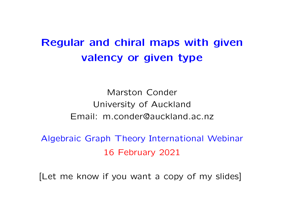# Regular and chiral maps with given valency or given type

Marston Conder University of Auckland Email: m.conder@auckland.ac.nz

Algebraic Graph Theory International Webinar 16 February 2021

[Let me know if you want a copy of my slides]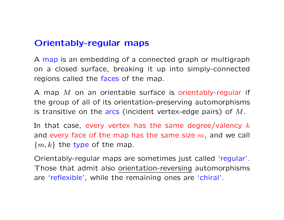## Orientably-regular maps

A map is an embedding of a connected graph or multigraph on a closed surface, breaking it up into simply-connected regions called the faces of the map.

A map  $M$  on an orientable surface is orientably-regular if the group of all of its orientation-preserving automorphisms is transitive on the arcs (incident vertex-edge pairs) of  $M$ .

In that case, every vertex has the same degree/valency  $k$ and every face of the map has the same size  $m$ , and we call  $\{m, k\}$  the type of the map.

Orientably-regular maps are sometimes just called 'regular'. Those that admit also orientation-reversing automorphisms are 'reflexible', while the remaining ones are 'chiral'.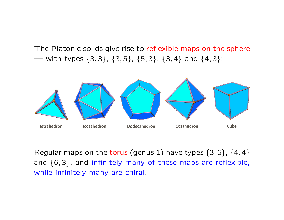The Platonic solids give rise to reflexible maps on the sphere — with types  $\{3, 3\}$ ,  $\{3, 5\}$ ,  $\{5, 3\}$ ,  $\{3, 4\}$  and  $\{4, 3\}$ :



Regular maps on the torus (genus 1) have types  $\{3, 6\}$ ,  $\{4, 4\}$ and {6, 3}, and infinitely many of these maps are reflexible, while infinitely many are chiral.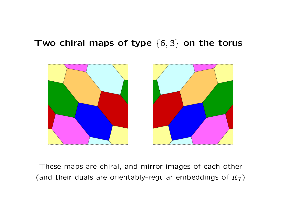## Two chiral maps of type  $\{6,3\}$  on the torus



These maps are chiral, and mirror images of each other (and their duals are orientably-regular embeddings of  $K_7$ )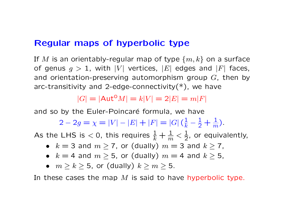## Regular maps of hyperbolic type

If M is an orientably-regular map of type  $\{m, k\}$  on a surface of genus  $g > 1$ , with  $|V|$  vertices,  $|E|$  edges and  $|F|$  faces, and orientation-preserving automorphism group  $G$ , then by arc-transitivity and 2-edge-connectivity $(*)$ , we have

 $|G| = |\text{Aut}^{\text{O}}M| = k|V| = 2|E| = m|F|$ 

and so by the Euler-Poincaré formula, we have

2 – 2g =  $\chi = |V| - |E| + |F| = |G| \left(\frac{1}{k} - \frac{1}{2} + \frac{1}{m}\right)$ ).

As the LHS is  $<$  0, this requires  $\frac{1}{k}+\frac{1}{m}<\frac{1}{2}$ , or equivalently,

- $k = 3$  and  $m \ge 7$ , or (dually)  $m = 3$  and  $k \ge 7$ ,
- $k = 4$  and  $m \geq 5$ , or (dually)  $m = 4$  and  $k \geq 5$ ,
- $m > k > 5$ , or (dually)  $k > m > 5$ .

In these cases the map  $M$  is said to have hyperbolic type.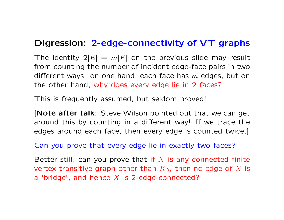## Digression: 2-edge-connectivity of VT graphs

The identity  $2|E| = m|F|$  on the previous slide may result from counting the number of incident edge-face pairs in two different ways: on one hand, each face has  $m$  edges, but on the other hand, why does every edge lie in 2 faces?

This is frequently assumed, but seldom proved!

[Note after talk: Steve Wilson pointed out that we can get around this by counting in a different way! If we trace the edges around each face, then every edge is counted twice.]

Can you prove that every edge lie in exactly two faces?

Better still, can you prove that if  $X$  is any connected finite vertex-transitive graph other than  $K_2$ , then no edge of X is a 'bridge', and hence  $X$  is 2-edge-connected?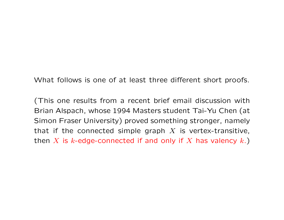What follows is one of at least three different short proofs.

(This one results from a recent brief email discussion with Brian Alspach, whose 1994 Masters student Tai-Yu Chen (at Simon Fraser University) proved something stronger, namely that if the connected simple graph  $X$  is vertex-transitive, then X is k-edge-connected if and only if X has valency  $k$ .)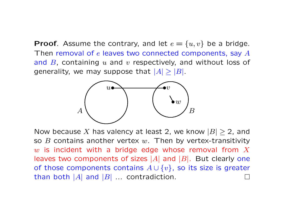**Proof.** Assume the contrary, and let  $e = \{u, v\}$  be a bridge. Then removal of  $e$  leaves two connected components, say  $A$ and  $B$ , containing  $u$  and  $v$  respectively, and without loss of generality, we may suppose that  $|A| \geq |B|$ .



Now because X has valency at least 2, we know  $|B| \geq 2$ , and so  $B$  contains another vertex  $w$ . Then by vertex-transitivity w is incident with a bridge edge whose removal from  $X$ leaves two components of sizes  $|A|$  and  $|B|$ . But clearly one of those components contains  $A \cup \{v\}$ , so its size is greater than both  $|A|$  and  $|B|$  ... contradiction.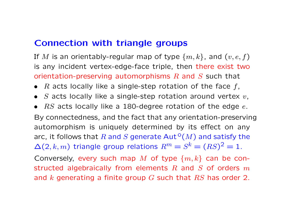## Connection with triangle groups

If M is an orientably-regular map of type  $\{m, k\}$ , and  $(v, e, f)$ is any incident vertex-edge-face triple, then there exist two orientation-preserving automorphisms  $R$  and  $S$  such that

- $R$  acts locally like a single-step rotation of the face  $f$ ,
- S acts locally like a single-step rotation around vertex  $v$ ,
- $RS$  acts locally like a 180-degree rotation of the edge  $e$ .

By connectedness, and the fact that any orientation-preserving automorphism is uniquely determined by its effect on any arc, it follows that R and S generate  $Aut^{\circ}(M)$  and satisfy the  $\Delta(2, k, m)$  triangle group relations  $R^m = S^k = (RS)^2 = 1$ .

Conversely, every such map M of type  $\{m, k\}$  can be constructed algebraically from elements  $R$  and  $S$  of orders  $m$ and  $k$  generating a finite group  $G$  such that  $RS$  has order 2.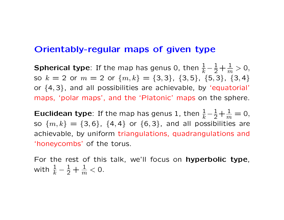### Orientably-regular maps of given type

Spherical type: If the map has genus 0, then  $\frac{1}{k} - \frac{1}{2} + \frac{1}{m} > 0$ , so  $k = 2$  or  $m = 2$  or  $\{m, k\} = \{3, 3\}$ ,  $\{3, 5\}$ ,  $\{5, 3\}$ ,  $\{3, 4\}$ or {4, 3}, and all possibilities are achievable, by 'equatorial' maps, 'polar maps', and the 'Platonic' maps on the sphere.

**Euclidean type**: If the map has genus 1, then  $\frac{1}{k} - \frac{1}{2} + \frac{1}{m} = 0$ , so  $\{m, k\} = \{3, 6\}$ ,  $\{4, 4\}$  or  $\{6, 3\}$ , and all possibilities are achievable, by uniform triangulations, quadrangulations and 'honeycombs' of the torus.

For the rest of this talk, we'll focus on hyperbolic type, with  $\frac{1}{k} - \frac{1}{2} + \frac{1}{m} < 0$ .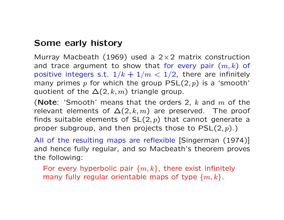## Some early history

Murray Macbeath (1969) used a  $2\times 2$  matrix construction and trace argument to show that for every pair  $(m, k)$  of positive integers s.t.  $1/k + 1/m < 1/2$ , there are infinitely many primes p for which the group  $PSL(2, p)$  is a 'smooth' quotient of the  $\Delta(2, k, m)$  triangle group.

(Note: 'Smooth' means that the orders 2,  $k$  and  $m$  of the relevant elements of  $\Delta(2, k, m)$  are preserved. The proof finds suitable elements of  $SL(2, p)$  that cannot generate a proper subgroup, and then projects those to  $PSL(2,p).$ )

All of the resulting maps are reflexible [Singerman (1974)] and hence fully regular, and so Macbeath's theorem proves the following:

For every hyperbolic pair  $\{m, k\}$ , there exist infinitely many fully regular orientable maps of type  $\{m, k\}$ .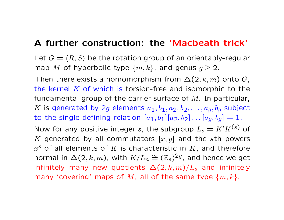## A further construction: the 'Macbeath trick'

Let  $G = \langle R, S \rangle$  be the rotation group of an orientably-regular map M of hyperbolic type  $\{m, k\}$ , and genus  $g \geq 2$ .

Then there exists a homomorphism from  $\Delta(2, k, m)$  onto G, the kernel  $K$  of which is torsion-free and isomorphic to the fundamental group of the carrier surface of  $M$ . In particular, K is generated by 2g elements  $a_1, b_1, a_2, b_2, \ldots, a_q, b_q$  subject to the single defining relation  $[a_1, b_1][a_2, b_2] \dots [a_q, b_q] = 1$ . Now for any positive integer s, the subgroup  $L_s = K'K^{(s)}$  of K generated by all commutators  $[x, y]$  and the sth powers  $x^s$  of all elements of  $K$  is characteristic in  $K$ , and therefore normal in  $\Delta(2,k,m)$ , with  $K/L_n \cong (\mathbb{Z}_s)^{2g}$ , and hence we get infinitely many new quotients  $\Delta(2, k, m)/L_s$  and infinitely many 'covering' maps of M, all of the same type  $\{m, k\}$ .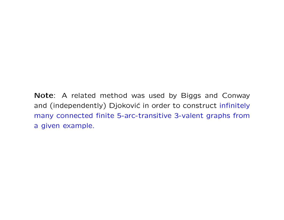Note: A related method was used by Biggs and Conway and (independently) Djoković in order to construct infinitely many connected finite 5-arc-transitive 3-valent graphs from a given example.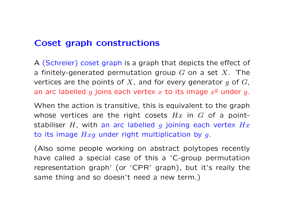## Coset graph constructions

A (Schreier) coset graph is a graph that depicts the effect of a finitely-generated permutation group G on a set X. The vertices are the points of X, and for every generator  $g$  of  $G$ , an arc labelled g joins each vertex  $x$  to its image  $x^g$  under g.

When the action is transitive, this is equivalent to the graph whose vertices are the right cosets  $Hx$  in  $G$  of a pointstabiliser H, with an arc labelled g joining each vertex  $Hx$ to its image  $Hxg$  under right multiplication by g.

(Also some people working on abstract polytopes recently have called a special case of this a 'C-group permutation representation graph' (or 'CPR' graph), but it's really the same thing and so doesn't need a new term.)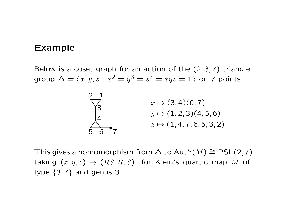#### Example

Below is a coset graph for an action of the  $(2, 3, 7)$  triangle group  $\Delta = \langle x, y, z \mid x^2 = y^3 = z^7 = xyz = 1 \rangle$  on 7 points:



This gives a homomorphism from  $\Delta$  to Aut<sup>o</sup> $(M) \cong PSL(2,7)$ taking  $(x, y, z) \mapsto (RS, R, S)$ , for Klein's quartic map M of type  $\{3, 7\}$  and genus 3.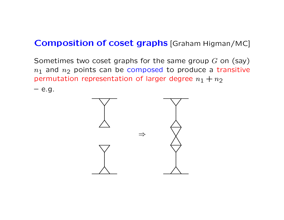## **Composition of coset graphs [Graham Higman/MC]**

Sometimes two coset graphs for the same group  $G$  on (say)  $n_1$  and  $n_2$  points can be composed to produce a transitive permutation representation of larger degree  $n_1 + n_2$ 

 $-$  e.g.

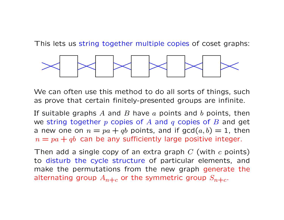This lets us string together multiple copies of coset graphs:



We can often use this method to do all sorts of things, such as prove that certain finitely-presented groups are infinite.

If suitable graphs A and B have  $a$  points and  $b$  points, then we string together  $p$  copies of  $A$  and  $q$  copies of  $B$  and get a new one on  $n = pa + qb$  points, and if  $gcd(a, b) = 1$ , then  $n = pa + qb$  can be any sufficiently large positive integer.

Then add a single copy of an extra graph  $C$  (with  $c$  points) to disturb the cycle structure of particular elements, and make the permutations from the new graph generate the alternating group  $A_{n+c}$  or the symmetric group  $S_{n+c}$ .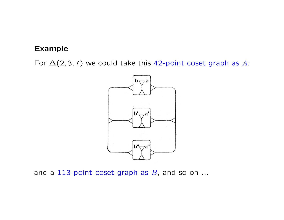#### Example

For  $\Delta(2,3,7)$  we could take this 42-point coset graph as A:



and a 113-point coset graph as  $B$ , and so on ...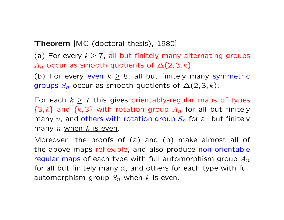Theorem [MC (doctoral thesis), 1980]

(a) For every  $k \geq 7$ , all but finitely many alternating groups  $A_n$  occur as smooth quotients of  $\Delta(2,3,k)$ 

(b) For every even  $k \geq 8$ , all but finitely many symmetric groups  $S_n$  occur as smooth quotients of  $\Delta(2,3,k)$ .

For each  $k \ge 7$  this gives orientably-regular maps of types  $\{3, k\}$  and  $\{k, 3\}$  with rotation group  $A_n$  for all but finitely many n, and others with rotation group  $S_n$  for all but finitely many  $n$  when  $k$  is even.

Moreover, the proofs of (a) and (b) make almost all of the above maps reflexible, and also produce non-orientable regular maps of each type with full automorphism group  $A_n$ for all but finitely many  $n$ , and others for each type with full automorphism group  $S_n$  when k is even.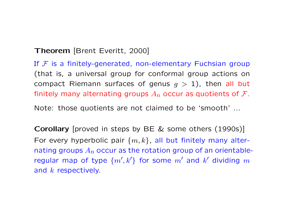#### Theorem [Brent Everitt, 2000]

If  $F$  is a finitely-generated, non-elementary Fuchsian group (that is, a universal group for conformal group actions on compact Riemann surfaces of genus  $g > 1$ ), then all but finitely many alternating groups  $A_n$  occur as quotients of F.

Note: those quotients are not claimed to be 'smooth' ...

Corollary [proved in steps by BE & some others (1990s)] For every hyperbolic pair  $\{m, k\}$ , all but finitely many alternating groups  $A_n$  occur as the rotation group of an orientableregular map of type  $\{m',k'\}$  for some  $m'$  and  $k'$  dividing  $m$ and k respectively.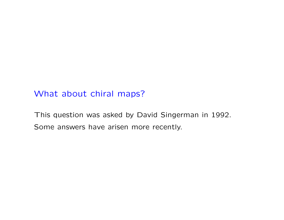## What about chiral maps?

This question was asked by David Singerman in 1992. Some answers have arisen more recently.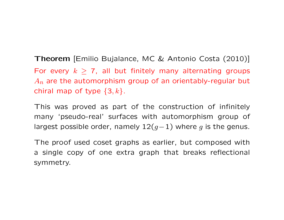Theorem [Emilio Bujalance, MC & Antonio Costa (2010)] For every  $k \geq 7$ , all but finitely many alternating groups  $A_n$  are the automorphism group of an orientably-regular but chiral map of type  $\{3, k\}$ .

This was proved as part of the construction of infinitely many 'pseudo-real' surfaces with automorphism group of largest possible order, namely  $12(g-1)$  where g is the genus.

The proof used coset graphs as earlier, but composed with a single copy of one extra graph that breaks reflectional symmetry.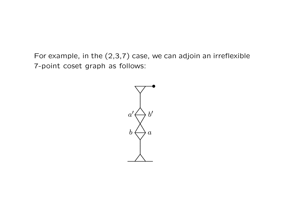For example, in the  $(2,3,7)$  case, we can adjoin an irreflexible 7-point coset graph as follows:

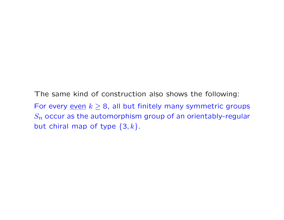The same kind of construction also shows the following: For every <u>even</u>  $k \geq 8$ , all but finitely many symmetric groups  $S_n$  occur as the automorphism group of an orientably-regular but chiral map of type  $\{3, k\}$ .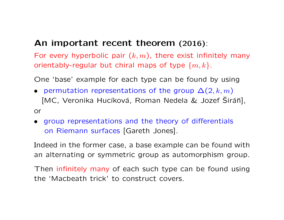## An important recent theorem (2016):

For every hyperbolic pair  $(k, m)$ , there exist infinitely many orientably-regular but chiral maps of type  $\{m, k\}$ .

One 'base' example for each type can be found by using

- permutation representations of the group  $\Delta(2, k, m)$ [MC, Veronika Hucíková, Roman Nedela & Jozef Širáň], or
- group representations and the theory of differentials on Riemann surfaces [Gareth Jones].

Indeed in the former case, a base example can be found with an alternating or symmetric group as automorphism group.

Then infinitely many of each such type can be found using the 'Macbeath trick' to construct covers.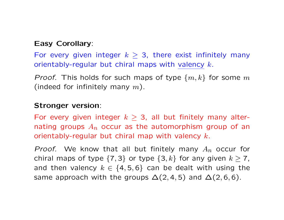#### Easy Corollary:

For every given integer  $k \geq 3$ , there exist infinitely many orientably-regular but chiral maps with valency  $k$ .

*Proof.* This holds for such maps of type  $\{m, k\}$  for some m (indeed for infinitely many  $m$ ).

#### Stronger version:

For every given integer  $k \geq 3$ , all but finitely many alternating groups  $A_n$  occur as the automorphism group of an orientably-regular but chiral map with valency  $k$ .

*Proof.* We know that all but finitely many  $A_n$  occur for chiral maps of type  $\{7,3\}$  or type  $\{3,k\}$  for any given  $k \ge 7$ , and then valency  $k \in \{4, 5, 6\}$  can be dealt with using the same approach with the groups  $\Delta(2,4,5)$  and  $\Delta(2,6,6)$ .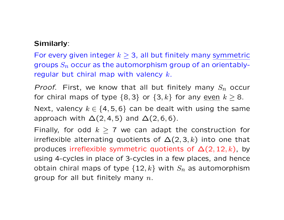#### Similarly:

For every given integer  $k \geq 3$ , all but finitely many symmetric groups  $S_n$  occur as the automorphism group of an orientablyregular but chiral map with valency  $k$ .

*Proof.* First, we know that all but finitely many  $S_n$  occur for chiral maps of type  $\{8,3\}$  or  $\{3,k\}$  for any even  $k \geq 8$ .

Next, valency  $k \in \{4, 5, 6\}$  can be dealt with using the same approach with  $\Delta(2,4,5)$  and  $\Delta(2,6,6)$ .

Finally, for odd  $k \ge 7$  we can adapt the construction for irreflexible alternating quotients of  $\Delta(2,3,k)$  into one that produces irreflexible symmetric quotients of  $\Delta(2, 12, k)$ , by using 4-cycles in place of 3-cycles in a few places, and hence obtain chiral maps of type  $\{12, k\}$  with  $S_n$  as automorphism group for all but finitely many  $n$ .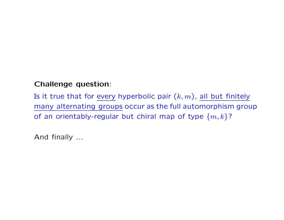#### Challenge question:

Is it true that for every hyperbolic pair  $(k, m)$ , all but finitely many alternating groups occur as the full automorphism group of an orientably-regular but chiral map of type  $\{m, k\}$ ?

And finally ...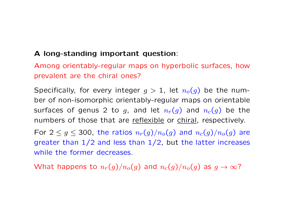#### A long-standing important question:

Among orientably-regular maps on hyperbolic surfaces, how prevalent are the chiral ones?

Specifically, for every integer  $g > 1$ , let  $n_o(g)$  be the number of non-isomorphic orientably-regular maps on orientable surfaces of genus 2 to g, and let  $n_r(g)$  and  $n_c(g)$  be the numbers of those that are reflexible or chiral, respectively.

For  $2 \le g \le 300$ , the ratios  $n_r(g)/n_o(g)$  and  $n_c(g)/n_o(g)$  are greater than  $1/2$  and less than  $1/2$ , but the latter increases while the former decreases.

What happens to  $n_r(g)/n_o(g)$  and  $n_c(g)/n_o(g)$  as  $g \to \infty$ ?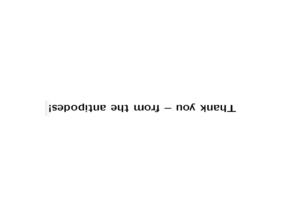## Thank you - from the antipodes!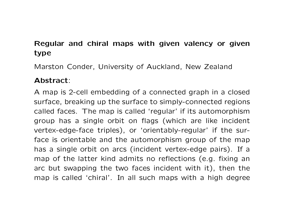## Regular and chiral maps with given valency or given type

Marston Conder, University of Auckland, New Zealand

#### Abstract:

A map is 2-cell embedding of a connected graph in a closed surface, breaking up the surface to simply-connected regions called faces. The map is called 'regular' if its automorphism group has a single orbit on flags (which are like incident vertex-edge-face triples), or 'orientably-regular' if the surface is orientable and the automorphism group of the map has a single orbit on arcs (incident vertex-edge pairs). If a map of the latter kind admits no reflections (e.g. fixing an arc but swapping the two faces incident with it), then the map is called 'chiral'. In all such maps with a high degree